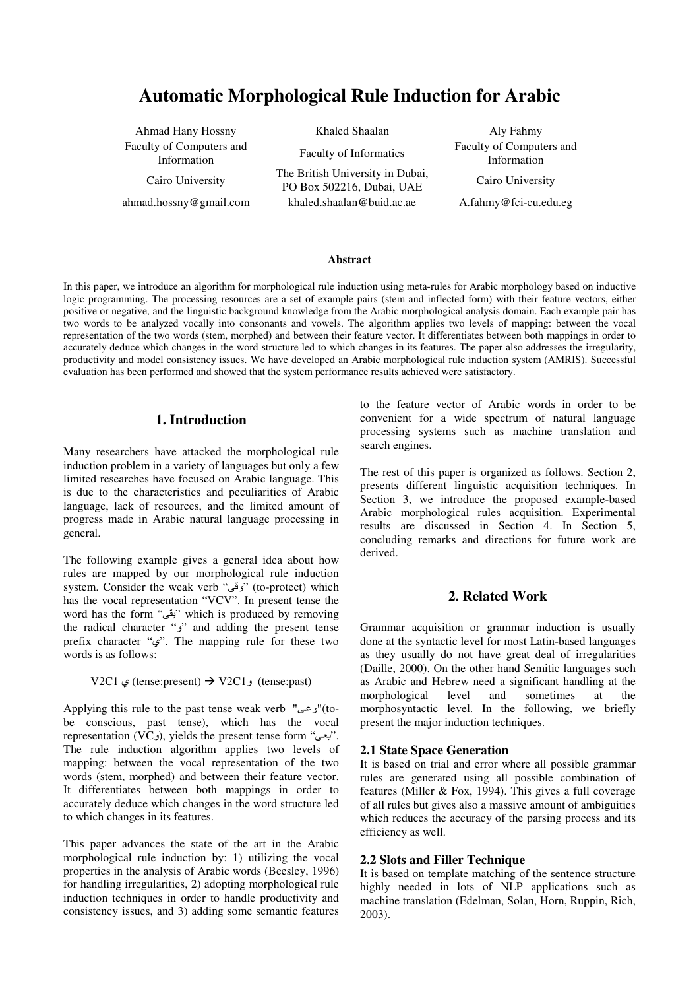# **Automatic Morphological Rule Induction for Arabic**

Ahmad Hany Hossny Khaled Shaalan Aly Fahmy Faculty of Computers and

Cairo University<br>
The British University in Dubai,<br>  $\overline{PQ} = 50236 \overline{PQ} + 1.1 \overline{M} \overline{R}$ PO Box 502216, Dubai, UAE Cairo University ahmad.hossny@gmail.com khaled.shaalan@buid.ac.ae A.fahmy@fci-cu.edu.eg

y of Computers and<br>
Information Faculty of Informatics Faculty of Computers and<br>
Information Information Information

#### **Abstract**

In this paper, we introduce an algorithm for morphological rule induction using meta-rules for Arabic morphology based on inductive logic programming. The processing resources are a set of example pairs (stem and inflected form) with their feature vectors, either positive or negative, and the linguistic background knowledge from the Arabic morphological analysis domain. Each example pair has two words to be analyzed vocally into consonants and vowels. The algorithm applies two levels of mapping: between the vocal representation of the two words (stem, morphed) and between their feature vector. It differentiates between both mappings in order to accurately deduce which changes in the word structure led to which changes in its features. The paper also addresses the irregularity, productivity and model consistency issues. We have developed an Arabic morphological rule induction system (AMRIS). Successful evaluation has been performed and showed that the system performance results achieved were satisfactory.

# **1. Introduction**

Many researchers have attacked the morphological rule induction problem in a variety of languages but only a few limited researches have focused on Arabic language. This is due to the characteristics and peculiarities of Arabic language, lack of resources, and the limited amount of progress made in Arabic natural language processing in general.

The following example gives a general idea about how rules are mapped by our morphological rule induction system. Consider the weak verb "وقى" (to-protect) which has the vocal representation "VCV". In present tense the word has the form "يقى" which is produced by removing the radical character "*j*" and adding the present tense prefix character "ي". The mapping rule for these two words is as follows:

V2C1 و)  $\text{V2C1} \rightarrow \text{V2C1}$  (tense:present)  $\rightarrow \text{V2C1}$ )

-to)"وعى" (to- Applying this rule to the past tense weak verb be conscious, past tense), which has the vocal representation (VC<sub>9</sub>), yields the present tense form "  $\mu$ . The rule induction algorithm applies two levels of mapping: between the vocal representation of the two words (stem, morphed) and between their feature vector. It differentiates between both mappings in order to accurately deduce which changes in the word structure led to which changes in its features.

This paper advances the state of the art in the Arabic morphological rule induction by: 1) utilizing the vocal properties in the analysis of Arabic words (Beesley, 1996) for handling irregularities, 2) adopting morphological rule induction techniques in order to handle productivity and consistency issues, and 3) adding some semantic features to the feature vector of Arabic words in order to be convenient for a wide spectrum of natural language processing systems such as machine translation and search engines.

The rest of this paper is organized as follows. Section 2, presents different linguistic acquisition techniques. In Section 3, we introduce the proposed example-based Arabic morphological rules acquisition. Experimental results are discussed in Section 4. In Section 5, concluding remarks and directions for future work are derived.

# **2. Related Work**

Grammar acquisition or grammar induction is usually done at the syntactic level for most Latin-based languages as they usually do not have great deal of irregularities (Daille, 2000). On the other hand Semitic languages such as Arabic and Hebrew need a significant handling at the morphological level and sometimes at the morphosyntactic level. In the following, we briefly present the major induction techniques.

### **2.1 State Space Generation**

It is based on trial and error where all possible grammar rules are generated using all possible combination of features (Miller & Fox, 1994). This gives a full coverage of all rules but gives also a massive amount of ambiguities which reduces the accuracy of the parsing process and its efficiency as well.

### **2.2 Slots and Filler Technique**

It is based on template matching of the sentence structure highly needed in lots of NLP applications such as machine translation (Edelman, Solan, Horn, Ruppin, Rich, 2003).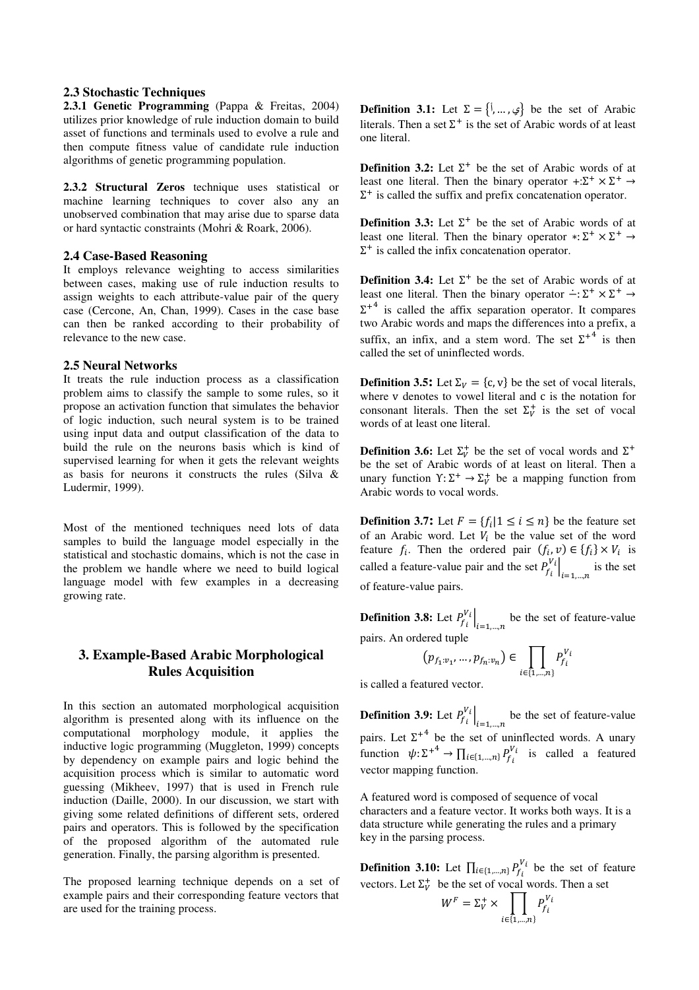#### **2.3 Stochastic Techniques**

**2.3.1 Genetic Programming** (Pappa & Freitas, 2004) utilizes prior knowledge of rule induction domain to build asset of functions and terminals used to evolve a rule and then compute fitness value of candidate rule induction algorithms of genetic programming population.

**2.3.2 Structural Zeros** technique uses statistical or machine learning techniques to cover also any an unobserved combination that may arise due to sparse data or hard syntactic constraints (Mohri & Roark, 2006).

#### **2.4 Case-Based Reasoning**

It employs relevance weighting to access similarities between cases, making use of rule induction results to assign weights to each attribute-value pair of the query case (Cercone, An, Chan, 1999). Cases in the case base can then be ranked according to their probability of relevance to the new case.

#### **2.5 Neural Networks**

It treats the rule induction process as a classification problem aims to classify the sample to some rules, so it propose an activation function that simulates the behavior of logic induction, such neural system is to be trained using input data and output classification of the data to build the rule on the neurons basis which is kind of supervised learning for when it gets the relevant weights as basis for neurons it constructs the rules (Silva & Ludermir, 1999).

Most of the mentioned techniques need lots of data samples to build the language model especially in the statistical and stochastic domains, which is not the case in the problem we handle where we need to build logical language model with few examples in a decreasing growing rate.

# **3. Example-Based Arabic Morphological Rules Acquisition**

In this section an automated morphological acquisition algorithm is presented along with its influence on the computational morphology module, it applies the inductive logic programming (Muggleton, 1999) concepts by dependency on example pairs and logic behind the acquisition process which is similar to automatic word guessing (Mikheev, 1997) that is used in French rule induction (Daille, 2000). In our discussion, we start with giving some related definitions of different sets, ordered pairs and operators. This is followed by the specification of the proposed algorithm of the automated rule generation. Finally, the parsing algorithm is presented.

The proposed learning technique depends on a set of example pairs and their corresponding feature vectors that are used for the training process.

**Definition 3.1:** Let  $\Sigma = \{i, ..., \}$  be the set of Arabic literals. Then a set  $\Sigma^+$  is the set of Arabic words of at least one literal.

**Definition 3.2:** Let  $\Sigma^+$  be the set of Arabic words of at least one literal. Then the binary operator  $\pm : \Sigma^+ \times \Sigma^+ \rightarrow$  $\Sigma^+$  is called the suffix and prefix concatenation operator.

**Definition 3.3:** Let  $\Sigma^+$  be the set of Arabic words of at least one literal. Then the binary operator  $*:\Sigma^+ \times \Sigma^+ \rightarrow$  $\Sigma^+$  is called the infix concatenation operator.

**Definition 3.4:** Let  $\Sigma^+$  be the set of Arabic words of at least one literal. Then the binary operator  $\div \Sigma^+ \times \Sigma^+ \rightarrow$  $\Sigma^{+4}$  is called the affix separation operator. It compares two Arabic words and maps the differences into a prefix, a suffix, an infix, and a stem word. The set  $\Sigma^{+4}$  is then called the set of uninflected words.

**Definition 3.5:** Let  $\Sigma_V = \{c, v\}$  be the set of vocal literals, where v denotes to vowel literal and c is the notation for consonant literals. Then the set  $\Sigma_V^+$  is the set of vocal words of at least one literal.

**Definition 3.6:** Let  $\Sigma_V^+$  be the set of vocal words and  $\Sigma^+$ be the set of Arabic words of at least on literal. Then a unary function  $Y: \Sigma^+ \to \Sigma_V^+$  be a mapping function from Arabic words to vocal words.

**Definition 3.7:** Let  $F = \{f_i | 1 \le i \le n\}$  be the feature set of an Arabic word. Let  $V_i$  be the value set of the word feature  $f_i$ . Then the ordered pair  $(f_i, v) \in \{f_i\} \times V_i$  is called a feature-value pair and the set  $P_{f_i}^{V_i}|_{i=1,\dots,n}$  is the set of feature-value pairs.

**Definition 3.8:** Let  $P_{f_i}^{V_i}\big|_{i=1,\dots,n}$  be the set of feature-value pairs. An ordered tuple

$$
\left(p_{f_1:v_1},\ldots,p_{f_n:v_n}\right)\in\prod_{i\in\{1,\ldots,n\}}P_{f_i}^{V_i}
$$

is called a featured vector.

**Definition 3.9:** Let  $P_{f_i}^{V_i}\big|_{i=1,\dots,n}$  be the set of feature-value pairs. Let  $\Sigma^{+4}$  be the set of uninflected words. A unary function  $\psi: \Sigma^{+4} \to \prod_{i \in \{1,\dots,n\}} P_{f_i}^{V_i}$  is called a featured vector mapping function.

A featured word is composed of sequence of vocal characters and a feature vector. It works both ways. It is a data structure while generating the rules and a primary key in the parsing process.

**Definition 3.10:** Let  $\prod_{i \in \{1,\dots,n\}} P_{f_i}^{V_i}$  be the set of feature vectors. Let  $\Sigma_V^+$  be the set of vocal words. Then a set

$$
W^F = \Sigma_V^+ \times \prod_{i \in \{1, \dots, n\}} P_{f_i}^{V_i}
$$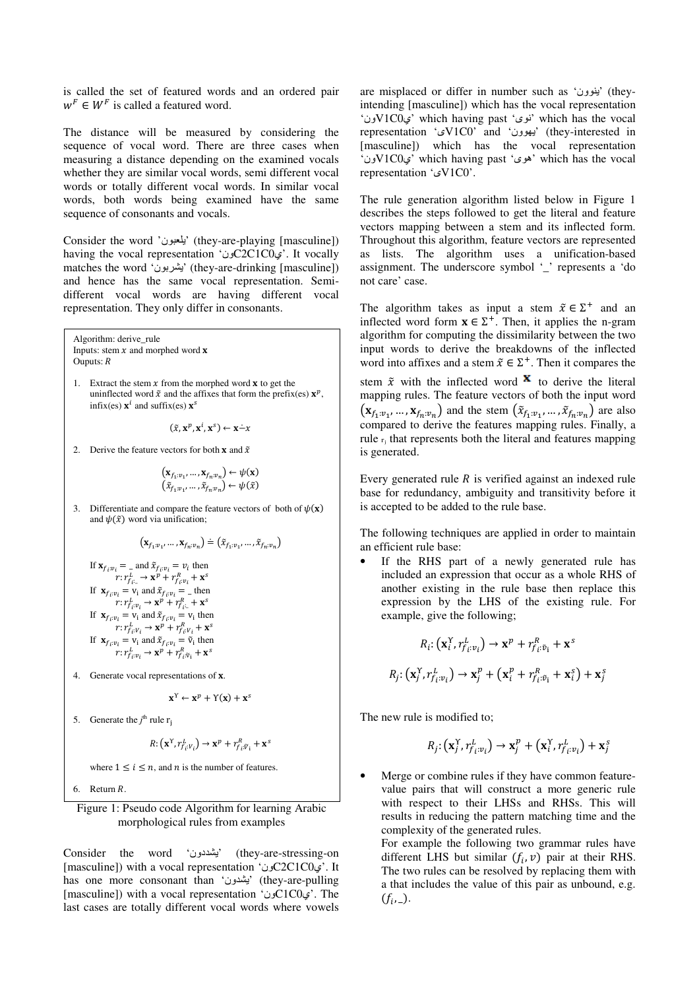is called the set of featured words and an ordered pair  $w^F \in W^F$  is called a featured word.

The distance will be measured by considering the sequence of vocal word. There are three cases when measuring a distance depending on the examined vocals whether they are similar vocal words, semi different vocal words or totally different vocal words. In similar vocal words, both words being examined have the same sequence of consonants and vocals.

Consider the word 'يلعبون' (they-are-playing [masculine]) having the vocal representation ' $C2C1C0$  $\epsilon$ '. It vocally matches the word 'يشربون' (they-are-drinking [masculine]) and hence has the same vocal representation. Semidifferent vocal words are having different vocal representation. They only differ in consonants.

Algorithm: derive\_rule Inputs: stem  $x$  and morphed word  $x$ Ouputs:  $R$ 

1. Extract the stem  $x$  from the morphed word  $x$  to get the uninflected word  $\tilde{x}$  and the affixes that form the prefix(es)  $\mathbf{x}^p$ , infix(es)  $\mathbf{x}^i$  and suffix(es)  $\mathbf{x}^s$ 

 $(\tilde{x}, \mathbf{x}^p, \mathbf{x}^i, \mathbf{x}^s) \leftarrow \mathbf{x} - x$ 

2. Derive the feature vectors for both **x** and  $\tilde{x}$ 

$$
\begin{array}{c} \left(\mathbf{x}_{f_1:v_1},\ldots,\mathbf{x}_{f_n:v_n}\right) \leftarrow \psi(\mathbf{x}) \\ \left(\tilde{x}_{f_1:v_1},\ldots,\tilde{x}_{f_n:v_n}\right) \leftarrow \psi(\tilde{x}) \end{array}
$$

3. Differentiate and compare the feature vectors of both of  $\psi(\mathbf{x})$ and  $\psi(\tilde{x})$  word via unification;

$$
(\mathbf{x}_{f_1:v_1},\ldots,\mathbf{x}_{f_n:v_n}) \doteq (\tilde{x}_{f_1:v_1},\ldots,\tilde{x}_{f_n:v_n})
$$

If 
$$
\mathbf{x}_{f_i:v_i} = \text{and } \tilde{\mathbf{x}}_{f_i:v_i} = v_i
$$
 then  
\n $r: r_{f_i:v_i}^L \rightarrow \mathbf{x}^p + r_{f_i:v_i}^R + \mathbf{x}^s$   
\nIf  $\mathbf{x}_{f_i:v_i} = v_i$  and  $\tilde{\mathbf{x}}_{f_i:v_i} = \text{then}$   
\n $r: r_{f_i:v_i}^L \rightarrow \mathbf{x}^p + r_{f_i:v_i}^R + \mathbf{x}^s$   
\nIf  $\mathbf{x}_{f_i:v_i} = v_i$  and  $\tilde{\mathbf{x}}_{f_i:v_i} = v_i$  then  
\n $r: r_{f_i:v_i}^L \rightarrow \mathbf{x}^p + r_{f_i:v_i}^R + \mathbf{x}^s$   
\nIf  $\mathbf{x}_{f_i:v_i} = v_i$  and  $\tilde{\mathbf{x}}_{f_i:v_i} = \tilde{v}_i$  then  
\n $r: r_{f_i:v_i}^L \rightarrow \mathbf{x}^p + r_{f_i:v_i}^R + \mathbf{x}^s$ 

4. Generate vocal representations of x.

$$
\mathbf{x}^{\Upsilon} \leftarrow \mathbf{x}^{p} + \Upsilon(\mathbf{x}) + \mathbf{x}^{s}
$$

5. Generate the  $j^{\text{th}}$  rule r<sub>j</sub>

$$
R: (\mathbf{x}^Y, r_{f_i:V_i}^L) \to \mathbf{x}^p + r_{f_i:\widetilde{V}_1}^R + \mathbf{x}^s
$$

where  $1 \le i \le n$ , and *n* is the number of features.

6. Return  $R$ .

## Figure 1: Pseudo code Algorithm for learning Arabic morphological rules from examples

Consider the word 'دون) 'they-are-stressing-on [masculine]) with a vocal representation 'ونC2C1C0ي'. It has one more consonant than 'يشدون' (they-are-pulling [masculine]) with a vocal representation ' $c$ 21C0 $c$  $\cdot$ . The last cases are totally different vocal words where vowels

are misplaced or differ in number such as 'بنوون' (theyintending [masculine]) which has the vocal representation 'نوی' which having past 'نوی' which has the vocal representation 'ىV1C0' and 'ون) 'they-interested in [masculine]) which has the vocal representation 'ونV1C0ي 'which having past 'ىه 'which has the vocal representation 'ىV1C0'.

The rule generation algorithm listed below in Figure 1 describes the steps followed to get the literal and feature vectors mapping between a stem and its inflected form. Throughout this algorithm, feature vectors are represented as lists. The algorithm uses a unification-based assignment. The underscore symbol ' ' represents a 'do not care' case.

The algorithm takes as input a stem  $\tilde{x} \in \Sigma^+$  and an inflected word form  $\mathbf{x} \in \Sigma^+$ . Then, it applies the n-gram algorithm for computing the dissimilarity between the two input words to derive the breakdowns of the inflected word into affixes and a stem  $\tilde{x} \in \Sigma^+$ . Then it compares the stem  $\tilde{x}$  with the inflected word  $\tilde{x}$  to derive the literal mapping rules. The feature vectors of both the input word  $(\mathbf{x}_{f_1:v_1}, ..., \mathbf{x}_{f_n:v_n})$  and the stem  $(\tilde{x}_{f_1:v_1}, ..., \tilde{x}_{f_n:v_n})$  are also compared to derive the features mapping rules. Finally, a rule <sup>r</sup>: that represents both the literal and features mapping is generated.

Every generated rule  $R$  is verified against an indexed rule base for redundancy, ambiguity and transitivity before it is accepted to be added to the rule base.

The following techniques are applied in order to maintain an efficient rule base:

If the RHS part of a newly generated rule has included an expression that occur as a whole RHS of another existing in the rule base then replace this expression by the LHS of the existing rule. For example, give the following;

$$
R_i: (\mathbf{x}_i^Y, r_{f_i:v_i}^L) \to \mathbf{x}^p + r_{f_i:\tilde{v}_i}^R + \mathbf{x}^s
$$
  

$$
R_j: (\mathbf{x}_j^Y, r_{f_i:v_i}^L) \to \mathbf{x}_j^p + (\mathbf{x}_i^p + r_{f_i:\tilde{v}_i}^R + \mathbf{x}_i^s) + \mathbf{x}_j^s
$$

The new rule is modified to;

$$
R_j: (\mathbf{x}_j^Y, r_{f_i:v_i}^L) \to \mathbf{x}_j^p + (\mathbf{x}_i^Y, r_{f_i:v_i}^L) + \mathbf{x}_j^s
$$

Merge or combine rules if they have common featurevalue pairs that will construct a more generic rule with respect to their LHSs and RHSs. This will results in reducing the pattern matching time and the complexity of the generated rules.

For example the following two grammar rules have different LHS but similar  $(f_i, v)$  pair at their RHS. The two rules can be resolved by replacing them with a that includes the value of this pair as unbound, e.g.  $(f_i, \_).$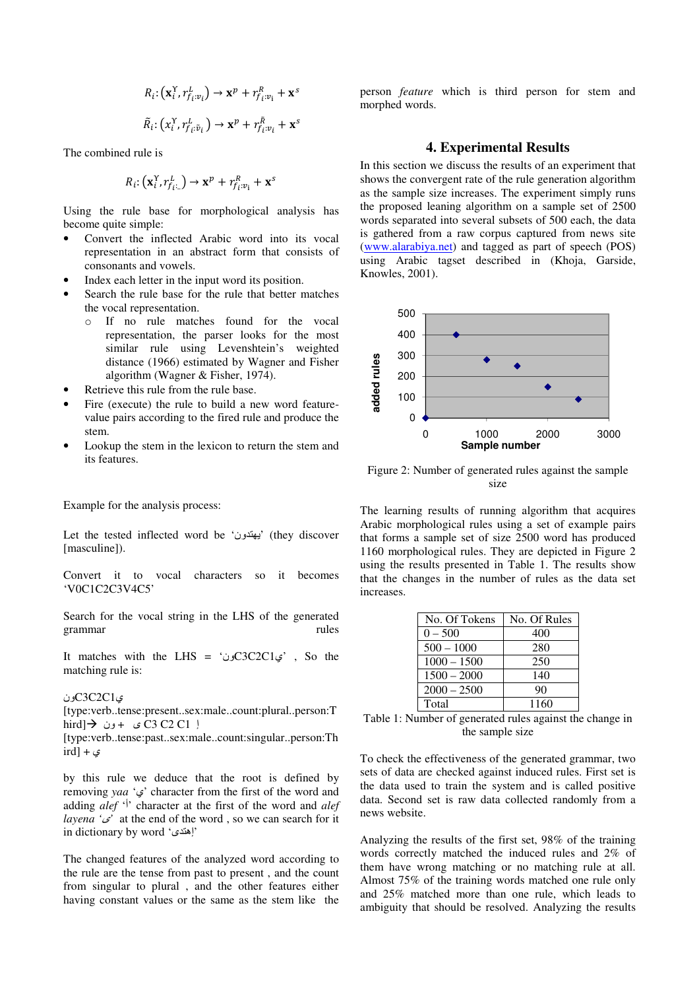$$
R_i: (\mathbf{x}_i^{\Upsilon}, r_{f_i:v_i}^L) \to \mathbf{x}^p + r_{f_i:v_i}^R + \mathbf{x}^s
$$
  

$$
\tilde{R}_i: (x_i^{\Upsilon}, r_{f_i:\tilde{v}_i}^L) \to \mathbf{x}^p + r_{f_i:v_i}^{\tilde{R}} + \mathbf{x}^s
$$

The combined rule is

$$
R_i: (\mathbf{x}_i^{\Upsilon}, r_{f_{i-}}^L) \to \mathbf{x}^p + r_{f_i: v_1}^R + \mathbf{x}^s
$$

Using the rule base for morphological analysis has become quite simple:

- Convert the inflected Arabic word into its vocal representation in an abstract form that consists of consonants and vowels.
- Index each letter in the input word its position.
- Search the rule base for the rule that better matches the vocal representation.
	- o If no rule matches found for the vocal representation, the parser looks for the most similar rule using Levenshtein's weighted distance (1966) estimated by Wagner and Fisher algorithm (Wagner & Fisher, 1974).
- Retrieve this rule from the rule base.
- Fire (execute) the rule to build a new word featurevalue pairs according to the fired rule and produce the stem.
- Lookup the stem in the lexicon to return the stem and its features.

Example for the analysis process:

Let the tested inflected word be 'ون) 'they discover [masculine]).

Convert it to vocal characters so it becomes 'V0C1C2C3V4C5'

Search for the vocal string in the LHS of the generated grammar rules

It matches with the LHS = ' $C3C2C1$ ين $C3C2C1$ matching rule is:

### ونC3C2C1ي

[type:verb..tense:present..sex:male..count:plural..person:T hird]  $\rightarrow$   $+$   $\sqrt{C3 C2 C1}$  }

[type:verb..tense:past..sex:male..count:singular..person:Th ird] +  $\epsilon$ 

by this rule we deduce that the root is defined by removing *yaa* 'ي 'character from the first of the word and adding *alef* '<sup> $\dagger$ </sup> character at the first of the word and *alef layena '* $\omega$ <sup>'</sup> at the end of the word, so we can search for it in dictionary by word 'إهتدى'

The changed features of the analyzed word according to the rule are the tense from past to present , and the count from singular to plural , and the other features either having constant values or the same as the stem like the person *feature* which is third person for stem and morphed words.

# **4. Experimental Results**

In this section we discuss the results of an experiment that shows the convergent rate of the rule generation algorithm as the sample size increases. The experiment simply runs the proposed leaning algorithm on a sample set of 2500 words separated into several subsets of 500 each, the data is gathered from a raw corpus captured from news site (www.alarabiya.net) and tagged as part of speech (POS) using Arabic tagset described in (Khoja, Garside, Knowles, 2001).



Figure 2: Number of generated rules against the sample size

The learning results of running algorithm that acquires Arabic morphological rules using a set of example pairs that forms a sample set of size 2500 word has produced 1160 morphological rules. They are depicted in Figure 2 using the results presented in Table 1. The results show that the changes in the number of rules as the data set increases.

| No. Of Tokens | No. Of Rules |
|---------------|--------------|
| $0 - 500$     | 400          |
| $500 - 1000$  | 280          |
| $1000 - 1500$ | 250          |
| $1500 - 2000$ | 140          |
| $2000 - 2500$ | 90           |
| Total         | 1160         |

Table 1: Number of generated rules against the change in the sample size

To check the effectiveness of the generated grammar, two sets of data are checked against induced rules. First set is the data used to train the system and is called positive data. Second set is raw data collected randomly from a news website.

Analyzing the results of the first set, 98% of the training words correctly matched the induced rules and 2% of them have wrong matching or no matching rule at all. Almost 75% of the training words matched one rule only and 25% matched more than one rule, which leads to ambiguity that should be resolved. Analyzing the results